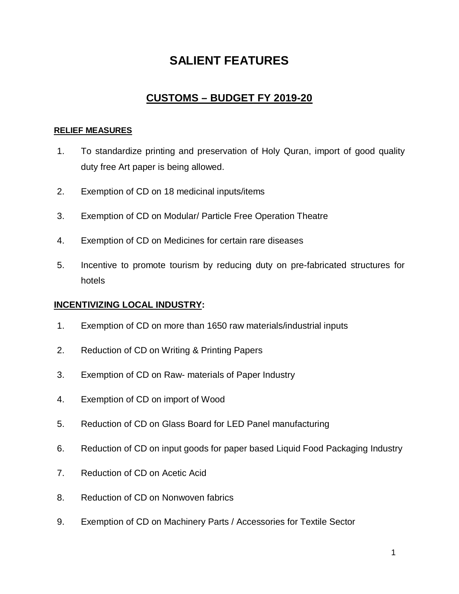# **SALIENT FEATURES**

# **CUSTOMS – BUDGET FY 2019-20**

## **RELIEF MEASURES**

- 1. To standardize printing and preservation of Holy Quran, import of good quality duty free Art paper is being allowed.
- 2. Exemption of CD on 18 medicinal inputs/items
- 3. Exemption of CD on Modular/ Particle Free Operation Theatre
- 4. Exemption of CD on Medicines for certain rare diseases
- 5. Incentive to promote tourism by reducing duty on pre-fabricated structures for hotels

# **INCENTIVIZING LOCAL INDUSTRY:**

- 1. Exemption of CD on more than 1650 raw materials/industrial inputs
- 2. Reduction of CD on Writing & Printing Papers
- 3. Exemption of CD on Raw- materials of Paper Industry
- 4. Exemption of CD on import of Wood
- 5. Reduction of CD on Glass Board for LED Panel manufacturing
- 6. Reduction of CD on input goods for paper based Liquid Food Packaging Industry
- 7. Reduction of CD on Acetic Acid
- 8. Reduction of CD on Nonwoven fabrics
- 9. Exemption of CD on Machinery Parts / Accessories for Textile Sector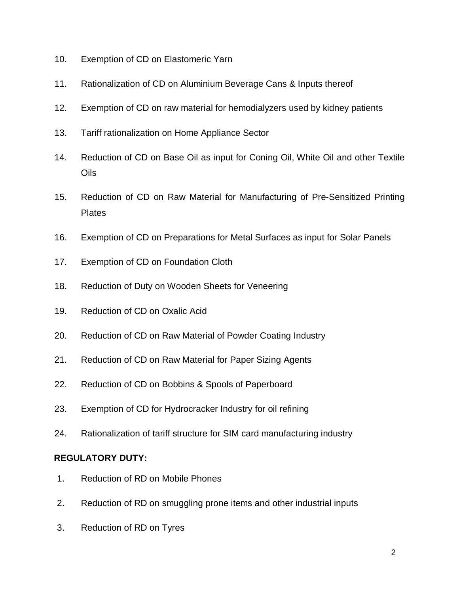- 10. Exemption of CD on Elastomeric Yarn
- 11. Rationalization of CD on Aluminium Beverage Cans & Inputs thereof
- 12. Exemption of CD on raw material for hemodialyzers used by kidney patients
- 13. Tariff rationalization on Home Appliance Sector
- 14. Reduction of CD on Base Oil as input for Coning Oil, White Oil and other Textile Oils
- 15. Reduction of CD on Raw Material for Manufacturing of Pre-Sensitized Printing **Plates**
- 16. Exemption of CD on Preparations for Metal Surfaces as input for Solar Panels
- 17. Exemption of CD on Foundation Cloth
- 18. Reduction of Duty on Wooden Sheets for Veneering
- 19. Reduction of CD on Oxalic Acid
- 20. Reduction of CD on Raw Material of Powder Coating Industry
- 21. Reduction of CD on Raw Material for Paper Sizing Agents
- 22. Reduction of CD on Bobbins & Spools of Paperboard
- 23. Exemption of CD for Hydrocracker Industry for oil refining
- 24. Rationalization of tariff structure for SIM card manufacturing industry

# **REGULATORY DUTY:**

- 1. Reduction of RD on Mobile Phones
- 2. Reduction of RD on smuggling prone items and other industrial inputs
- 3. Reduction of RD on Tyres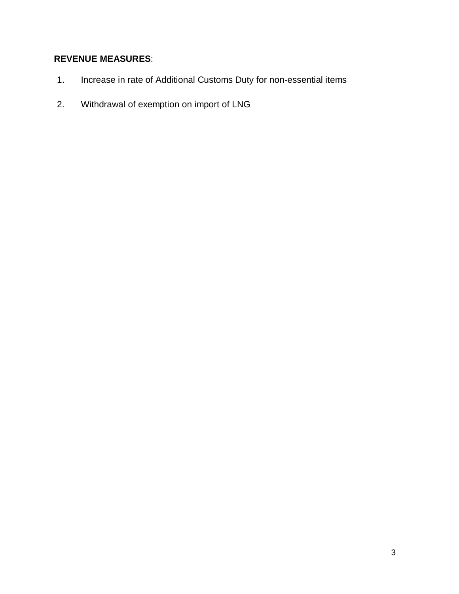# **REVENUE MEASURES**:

- 1. Increase in rate of Additional Customs Duty for non-essential items
- 2. Withdrawal of exemption on import of LNG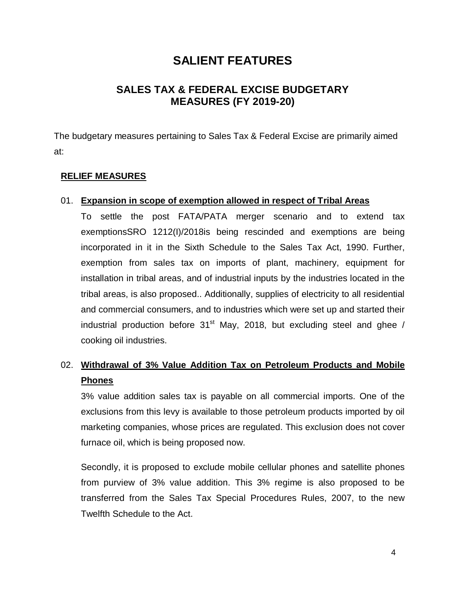# **SALIENT FEATURES**

# **SALES TAX & FEDERAL EXCISE BUDGETARY MEASURES (FY 2019-20)**

The budgetary measures pertaining to Sales Tax & Federal Excise are primarily aimed at:

### **RELIEF MEASURES**

#### 01. **Expansion in scope of exemption allowed in respect of Tribal Areas**

To settle the post FATA/PATA merger scenario and to extend tax exemptionsSRO 1212(I)/2018is being rescinded and exemptions are being incorporated in it in the Sixth Schedule to the Sales Tax Act, 1990. Further, exemption from sales tax on imports of plant, machinery, equipment for installation in tribal areas, and of industrial inputs by the industries located in the tribal areas, is also proposed.. Additionally, supplies of electricity to all residential and commercial consumers, and to industries which were set up and started their industrial production before  $31<sup>st</sup>$  May, 2018, but excluding steel and ghee / cooking oil industries.

# 02. **Withdrawal of 3% Value Addition Tax on Petroleum Products and Mobile Phones**

3% value addition sales tax is payable on all commercial imports. One of the exclusions from this levy is available to those petroleum products imported by oil marketing companies, whose prices are regulated. This exclusion does not cover furnace oil, which is being proposed now.

Secondly, it is proposed to exclude mobile cellular phones and satellite phones from purview of 3% value addition. This 3% regime is also proposed to be transferred from the Sales Tax Special Procedures Rules, 2007, to the new Twelfth Schedule to the Act.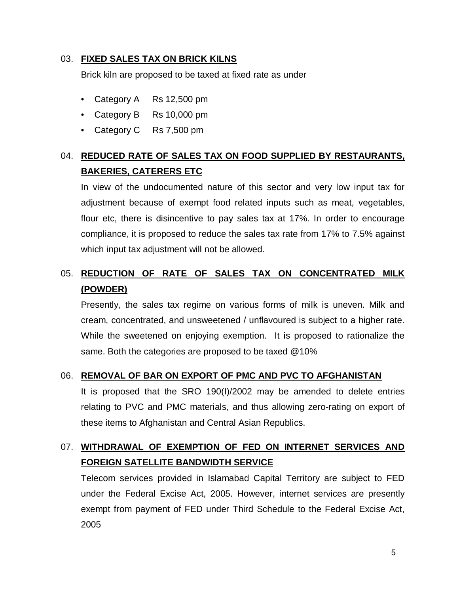### 03. **FIXED SALES TAX ON BRICK KILNS**

Brick kiln are proposed to be taxed at fixed rate as under

- Category A Rs 12,500 pm
- Category B Rs 10,000 pm
- Category C Rs 7,500 pm

# 04. **REDUCED RATE OF SALES TAX ON FOOD SUPPLIED BY RESTAURANTS, BAKERIES, CATERERS ETC**

In view of the undocumented nature of this sector and very low input tax for adjustment because of exempt food related inputs such as meat, vegetables, flour etc, there is disincentive to pay sales tax at 17%. In order to encourage compliance, it is proposed to reduce the sales tax rate from 17% to 7.5% against which input tax adjustment will not be allowed.

# 05. **REDUCTION OF RATE OF SALES TAX ON CONCENTRATED MILK (POWDER)**

Presently, the sales tax regime on various forms of milk is uneven. Milk and cream, concentrated, and unsweetened / unflavoured is subject to a higher rate. While the sweetened on enjoying exemption. It is proposed to rationalize the same. Both the categories are proposed to be taxed @10%

### 06. **REMOVAL OF BAR ON EXPORT OF PMC AND PVC TO AFGHANISTAN**

It is proposed that the SRO 190(I)/2002 may be amended to delete entries relating to PVC and PMC materials, and thus allowing zero-rating on export of these items to Afghanistan and Central Asian Republics.

# 07. **WITHDRAWAL OF EXEMPTION OF FED ON INTERNET SERVICES AND FOREIGN SATELLITE BANDWIDTH SERVICE**

Telecom services provided in Islamabad Capital Territory are subject to FED under the Federal Excise Act, 2005. However, internet services are presently exempt from payment of FED under Third Schedule to the Federal Excise Act, 2005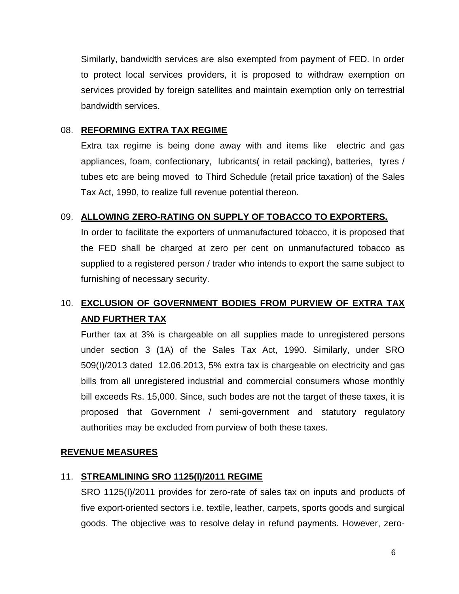Similarly, bandwidth services are also exempted from payment of FED. In order to protect local services providers, it is proposed to withdraw exemption on services provided by foreign satellites and maintain exemption only on terrestrial bandwidth services.

### 08. **REFORMING EXTRA TAX REGIME**

Extra tax regime is being done away with and items like electric and gas appliances, foam, confectionary, lubricants( in retail packing), batteries, tyres / tubes etc are being moved to Third Schedule (retail price taxation) of the Sales Tax Act, 1990, to realize full revenue potential thereon.

# 09. **ALLOWING ZERO-RATING ON SUPPLY OF TOBACCO TO EXPORTERS.**

In order to facilitate the exporters of unmanufactured tobacco, it is proposed that the FED shall be charged at zero per cent on unmanufactured tobacco as supplied to a registered person / trader who intends to export the same subject to furnishing of necessary security.

# 10. **EXCLUSION OF GOVERNMENT BODIES FROM PURVIEW OF EXTRA TAX AND FURTHER TAX**

Further tax at 3% is chargeable on all supplies made to unregistered persons under section 3 (1A) of the Sales Tax Act, 1990. Similarly, under SRO 509(I)/2013 dated 12.06.2013, 5% extra tax is chargeable on electricity and gas bills from all unregistered industrial and commercial consumers whose monthly bill exceeds Rs. 15,000. Since, such bodes are not the target of these taxes, it is proposed that Government / semi-government and statutory regulatory authorities may be excluded from purview of both these taxes.

# **REVENUE MEASURES**

# 11. **STREAMLINING SRO 1125(I)/2011 REGIME**

SRO 1125(I)/2011 provides for zero-rate of sales tax on inputs and products of five export-oriented sectors i.e. textile, leather, carpets, sports goods and surgical goods. The objective was to resolve delay in refund payments. However, zero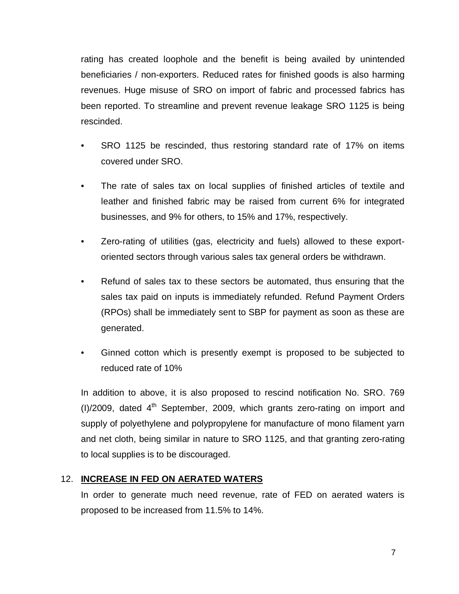rating has created loophole and the benefit is being availed by unintended beneficiaries / non-exporters. Reduced rates for finished goods is also harming revenues. Huge misuse of SRO on import of fabric and processed fabrics has been reported. To streamline and prevent revenue leakage SRO 1125 is being rescinded.

- SRO 1125 be rescinded, thus restoring standard rate of 17% on items covered under SRO.
- The rate of sales tax on local supplies of finished articles of textile and leather and finished fabric may be raised from current 6% for integrated businesses, and 9% for others, to 15% and 17%, respectively.
- Zero-rating of utilities (gas, electricity and fuels) allowed to these exportoriented sectors through various sales tax general orders be withdrawn.
- Refund of sales tax to these sectors be automated, thus ensuring that the sales tax paid on inputs is immediately refunded. Refund Payment Orders (RPOs) shall be immediately sent to SBP for payment as soon as these are generated.
- Ginned cotton which is presently exempt is proposed to be subjected to reduced rate of 10%

In addition to above, it is also proposed to rescind notification No. SRO. 769 (I)/2009, dated  $4<sup>th</sup>$  September, 2009, which grants zero-rating on import and supply of polyethylene and polypropylene for manufacture of mono filament yarn and net cloth, being similar in nature to SRO 1125, and that granting zero-rating to local supplies is to be discouraged.

# 12. **INCREASE IN FED ON AERATED WATERS**

In order to generate much need revenue, rate of FED on aerated waters is proposed to be increased from 11.5% to 14%.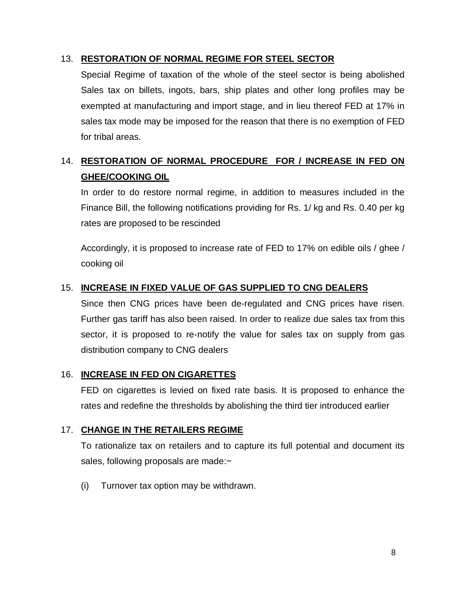# 13. **RESTORATION OF NORMAL REGIME FOR STEEL SECTOR**

Special Regime of taxation of the whole of the steel sector is being abolished Sales tax on billets, ingots, bars, ship plates and other long profiles may be exempted at manufacturing and import stage, and in lieu thereof FED at 17% in sales tax mode may be imposed for the reason that there is no exemption of FED for tribal areas.

# 14. **RESTORATION OF NORMAL PROCEDURE FOR / INCREASE IN FED ON GHEE/COOKING OIL**

In order to do restore normal regime, in addition to measures included in the Finance Bill, the following notifications providing for Rs. 1/ kg and Rs. 0.40 per kg rates are proposed to be rescinded

Accordingly, it is proposed to increase rate of FED to 17% on edible oils / ghee / cooking oil

# 15. **INCREASE IN FIXED VALUE OF GAS SUPPLIED TO CNG DEALERS**

Since then CNG prices have been de-regulated and CNG prices have risen. Further gas tariff has also been raised. In order to realize due sales tax from this sector, it is proposed to re-notify the value for sales tax on supply from gas distribution company to CNG dealers

# 16. **INCREASE IN FED ON CIGARETTES**

FED on cigarettes is levied on fixed rate basis. It is proposed to enhance the rates and redefine the thresholds by abolishing the third tier introduced earlier

# 17. **CHANGE IN THE RETAILERS REGIME**

To rationalize tax on retailers and to capture its full potential and document its sales, following proposals are made:−

(i) Turnover tax option may be withdrawn.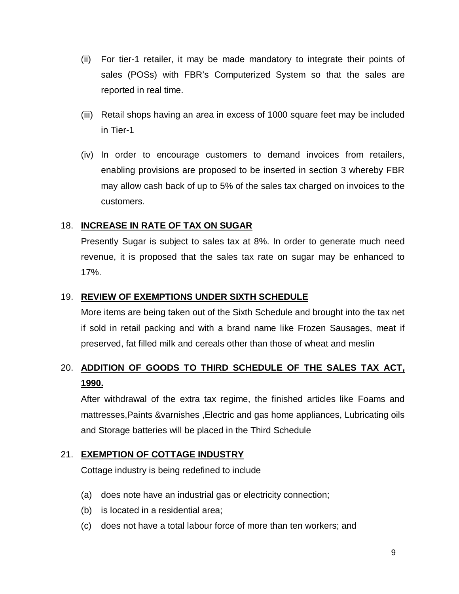- (ii) For tier-1 retailer, it may be made mandatory to integrate their points of sales (POSs) with FBR's Computerized System so that the sales are reported in real time.
- (iii) Retail shops having an area in excess of 1000 square feet may be included in Tier-1
- (iv) In order to encourage customers to demand invoices from retailers, enabling provisions are proposed to be inserted in section 3 whereby FBR may allow cash back of up to 5% of the sales tax charged on invoices to the customers.

# 18. **INCREASE IN RATE OF TAX ON SUGAR**

Presently Sugar is subject to sales tax at 8%. In order to generate much need revenue, it is proposed that the sales tax rate on sugar may be enhanced to 17%.

## 19. **REVIEW OF EXEMPTIONS UNDER SIXTH SCHEDULE**

More items are being taken out of the Sixth Schedule and brought into the tax net if sold in retail packing and with a brand name like Frozen Sausages, meat if preserved, fat filled milk and cereals other than those of wheat and meslin

# 20. **ADDITION OF GOODS TO THIRD SCHEDULE OF THE SALES TAX ACT, 1990.**

After withdrawal of the extra tax regime, the finished articles like Foams and mattresses,Paints &varnishes ,Electric and gas home appliances, Lubricating oils and Storage batteries will be placed in the Third Schedule

### 21. **EXEMPTION OF COTTAGE INDUSTRY**

Cottage industry is being redefined to include

- (a) does note have an industrial gas or electricity connection;
- (b) is located in a residential area;
- (c) does not have a total labour force of more than ten workers; and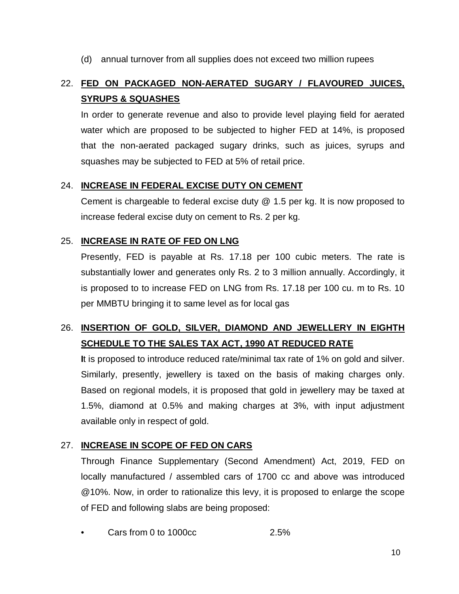(d) annual turnover from all supplies does not exceed two million rupees

# 22. **FED ON PACKAGED NON-AERATED SUGARY / FLAVOURED JUICES, SYRUPS & SQUASHES**

In order to generate revenue and also to provide level playing field for aerated water which are proposed to be subjected to higher FED at 14%, is proposed that the non-aerated packaged sugary drinks, such as juices, syrups and squashes may be subjected to FED at 5% of retail price.

### 24. **INCREASE IN FEDERAL EXCISE DUTY ON CEMENT**

Cement is chargeable to federal excise duty @ 1.5 per kg. It is now proposed to increase federal excise duty on cement to Rs. 2 per kg.

# 25. **INCREASE IN RATE OF FED ON LNG**

Presently, FED is payable at Rs. 17.18 per 100 cubic meters. The rate is substantially lower and generates only Rs. 2 to 3 million annually. Accordingly, it is proposed to to increase FED on LNG from Rs. 17.18 per 100 cu. m to Rs. 10 per MMBTU bringing it to same level as for local gas

# 26. **INSERTION OF GOLD, SILVER, DIAMOND AND JEWELLERY IN EIGHTH SCHEDULE TO THE SALES TAX ACT, 1990 AT REDUCED RATE**

**I**t is proposed to introduce reduced rate/minimal tax rate of 1% on gold and silver. Similarly, presently, jewellery is taxed on the basis of making charges only. Based on regional models, it is proposed that gold in jewellery may be taxed at 1.5%, diamond at 0.5% and making charges at 3%, with input adjustment available only in respect of gold.

### 27. **INCREASE IN SCOPE OF FED ON CARS**

Through Finance Supplementary (Second Amendment) Act, 2019, FED on locally manufactured / assembled cars of 1700 cc and above was introduced @10%. Now, in order to rationalize this levy, it is proposed to enlarge the scope of FED and following slabs are being proposed:

• Cars from 0 to 1000cc 2.5%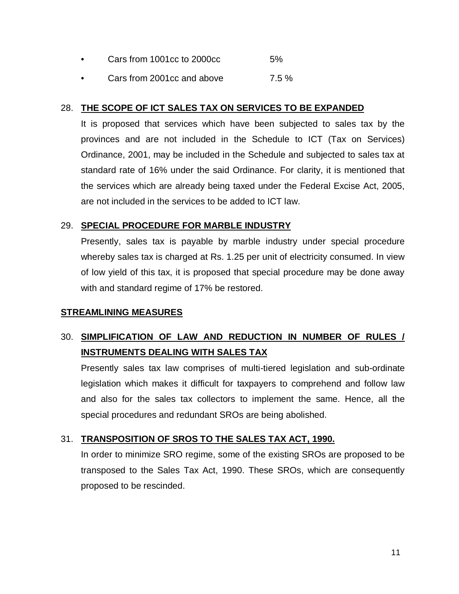- Cars from 1001cc to 2000cc 5%
- Cars from 2001cc and above 7.5 %

## 28. **THE SCOPE OF ICT SALES TAX ON SERVICES TO BE EXPANDED**

It is proposed that services which have been subjected to sales tax by the provinces and are not included in the Schedule to ICT (Tax on Services) Ordinance, 2001, may be included in the Schedule and subjected to sales tax at standard rate of 16% under the said Ordinance. For clarity, it is mentioned that the services which are already being taxed under the Federal Excise Act, 2005, are not included in the services to be added to ICT law.

# 29. **SPECIAL PROCEDURE FOR MARBLE INDUSTRY**

Presently, sales tax is payable by marble industry under special procedure whereby sales tax is charged at Rs. 1.25 per unit of electricity consumed. In view of low yield of this tax, it is proposed that special procedure may be done away with and standard regime of 17% be restored.

# **STREAMLINING MEASURES**

# 30. **SIMPLIFICATION OF LAW AND REDUCTION IN NUMBER OF RULES / INSTRUMENTS DEALING WITH SALES TAX**

Presently sales tax law comprises of multi-tiered legislation and sub-ordinate legislation which makes it difficult for taxpayers to comprehend and follow law and also for the sales tax collectors to implement the same. Hence, all the special procedures and redundant SROs are being abolished.

# 31. **TRANSPOSITION OF SROS TO THE SALES TAX ACT, 1990.**

In order to minimize SRO regime, some of the existing SROs are proposed to be transposed to the Sales Tax Act, 1990. These SROs, which are consequently proposed to be rescinded.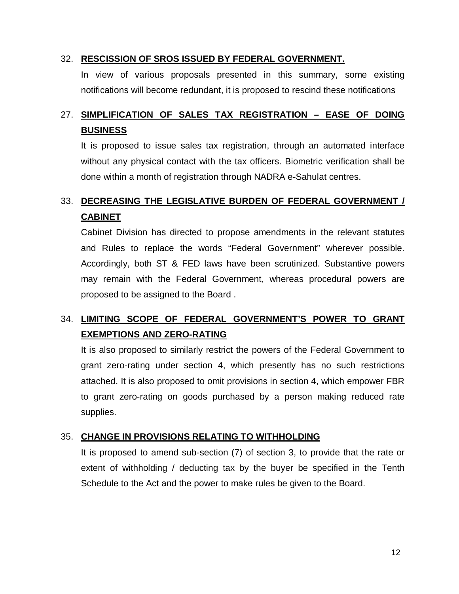### 32. **RESCISSION OF SROS ISSUED BY FEDERAL GOVERNMENT.**

In view of various proposals presented in this summary, some existing notifications will become redundant, it is proposed to rescind these notifications

# 27. **SIMPLIFICATION OF SALES TAX REGISTRATION – EASE OF DOING BUSINESS**

It is proposed to issue sales tax registration, through an automated interface without any physical contact with the tax officers. Biometric verification shall be done within a month of registration through NADRA e-Sahulat centres.

# 33. **DECREASING THE LEGISLATIVE BURDEN OF FEDERAL GOVERNMENT / CABINET**

Cabinet Division has directed to propose amendments in the relevant statutes and Rules to replace the words "Federal Government" wherever possible. Accordingly, both ST & FED laws have been scrutinized. Substantive powers may remain with the Federal Government, whereas procedural powers are proposed to be assigned to the Board .

# 34. **LIMITING SCOPE OF FEDERAL GOVERNMENT'S POWER TO GRANT EXEMPTIONS AND ZERO-RATING**

It is also proposed to similarly restrict the powers of the Federal Government to grant zero-rating under section 4, which presently has no such restrictions attached. It is also proposed to omit provisions in section 4, which empower FBR to grant zero-rating on goods purchased by a person making reduced rate supplies.

# 35. **CHANGE IN PROVISIONS RELATING TO WITHHOLDING**

It is proposed to amend sub-section (7) of section 3, to provide that the rate or extent of withholding / deducting tax by the buyer be specified in the Tenth Schedule to the Act and the power to make rules be given to the Board.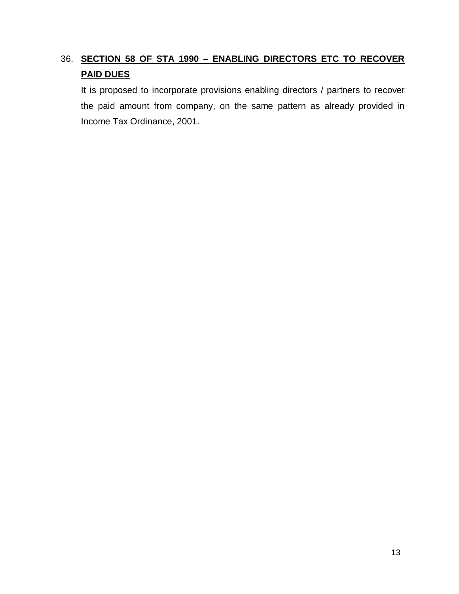# 36. **SECTION 58 OF STA 1990 – ENABLING DIRECTORS ETC TO RECOVER PAID DUES**

It is proposed to incorporate provisions enabling directors / partners to recover the paid amount from company, on the same pattern as already provided in Income Tax Ordinance, 2001.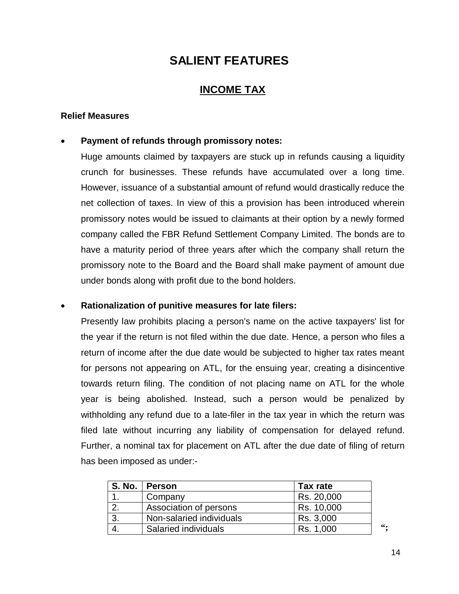# **SALIENT FEATURES**

# **INCOME TAX**

### **Relief Measures**

### **Payment of refunds through promissory notes:**

Huge amounts claimed by taxpayers are stuck up in refunds causing a liquidity crunch for businesses. These refunds have accumulated over a long time. However, issuance of a substantial amount of refund would drastically reduce the net collection of taxes. In view of this a provision has been introduced wherein promissory notes would be issued to claimants at their option by a newly formed company called the FBR Refund Settlement Company Limited. The bonds are to have a maturity period of three years after which the company shall return the promissory note to the Board and the Board shall make payment of amount due under bonds along with profit due to the bond holders.

### **Rationalization of punitive measures for late filers:**

Presently law prohibits placing a person's name on the active taxpayers' list for the year if the return is not filed within the due date. Hence, a person who files a return of income after the due date would be subjected to higher tax rates meant for persons not appearing on ATL, for the ensuing year, creating a disincentive towards return filing. The condition of not placing name on ATL for the whole year is being abolished. Instead, such a person would be penalized by withholding any refund due to a late-filer in the tax year in which the return was filed late without incurring any liability of compensation for delayed refund. Further, a nominal tax for placement on ATL after the due date of filing of return has been imposed as under:-

| S. No. 1 | <b>Person</b>            | Tax rate   |   |
|----------|--------------------------|------------|---|
|          | Company                  | Rs. 20,000 |   |
|          | Association of persons   | Rs. 10,000 |   |
| 3.       | Non-salaried individuals | Rs. 3,000  |   |
|          | Salaried individuals     | Rs. 1,000  | " |

14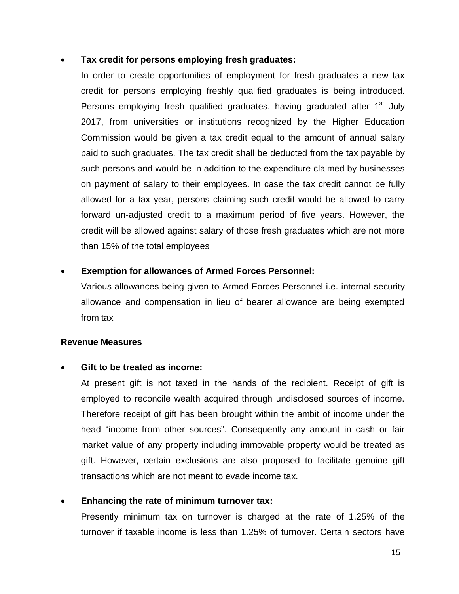### **Tax credit for persons employing fresh graduates:**

In order to create opportunities of employment for fresh graduates a new tax credit for persons employing freshly qualified graduates is being introduced. Persons employing fresh qualified graduates, having graduated after 1<sup>st</sup> July 2017, from universities or institutions recognized by the Higher Education Commission would be given a tax credit equal to the amount of annual salary paid to such graduates. The tax credit shall be deducted from the tax payable by such persons and would be in addition to the expenditure claimed by businesses on payment of salary to their employees. In case the tax credit cannot be fully allowed for a tax year, persons claiming such credit would be allowed to carry forward un-adjusted credit to a maximum period of five years. However, the credit will be allowed against salary of those fresh graduates which are not more than 15% of the total employees

#### **Exemption for allowances of Armed Forces Personnel:**

Various allowances being given to Armed Forces Personnel i.e. internal security allowance and compensation in lieu of bearer allowance are being exempted from tax

### **Revenue Measures**

### **Gift to be treated as income:**

At present gift is not taxed in the hands of the recipient. Receipt of gift is employed to reconcile wealth acquired through undisclosed sources of income. Therefore receipt of gift has been brought within the ambit of income under the head "income from other sources". Consequently any amount in cash or fair market value of any property including immovable property would be treated as gift. However, certain exclusions are also proposed to facilitate genuine gift transactions which are not meant to evade income tax.

### **Enhancing the rate of minimum turnover tax:**

Presently minimum tax on turnover is charged at the rate of 1.25% of the turnover if taxable income is less than 1.25% of turnover. Certain sectors have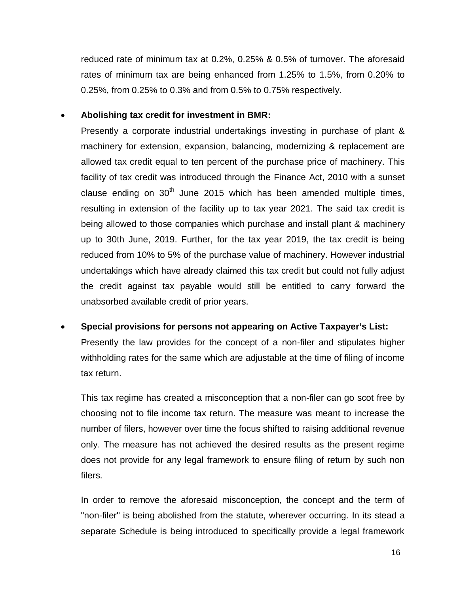reduced rate of minimum tax at 0.2%, 0.25% & 0.5% of turnover. The aforesaid rates of minimum tax are being enhanced from 1.25% to 1.5%, from 0.20% to 0.25%, from 0.25% to 0.3% and from 0.5% to 0.75% respectively.

# **Abolishing tax credit for investment in BMR:**

Presently a corporate industrial undertakings investing in purchase of plant & machinery for extension, expansion, balancing, modernizing & replacement are allowed tax credit equal to ten percent of the purchase price of machinery. This facility of tax credit was introduced through the Finance Act, 2010 with a sunset clause ending on  $30<sup>th</sup>$  June 2015 which has been amended multiple times, resulting in extension of the facility up to tax year 2021. The said tax credit is being allowed to those companies which purchase and install plant & machinery up to 30th June, 2019. Further, for the tax year 2019, the tax credit is being reduced from 10% to 5% of the purchase value of machinery. However industrial undertakings which have already claimed this tax credit but could not fully adjust the credit against tax payable would still be entitled to carry forward the unabsorbed available credit of prior years.

 **Special provisions for persons not appearing on Active Taxpayer's List:** Presently the law provides for the concept of a non-filer and stipulates higher withholding rates for the same which are adjustable at the time of filing of income tax return.

This tax regime has created a misconception that a non-filer can go scot free by choosing not to file income tax return. The measure was meant to increase the number of filers, however over time the focus shifted to raising additional revenue only. The measure has not achieved the desired results as the present regime does not provide for any legal framework to ensure filing of return by such non filers.

In order to remove the aforesaid misconception, the concept and the term of "non-filer" is being abolished from the statute, wherever occurring. In its stead a separate Schedule is being introduced to specifically provide a legal framework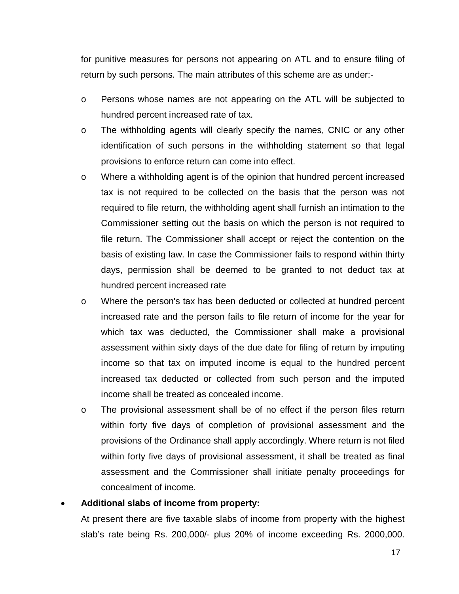for punitive measures for persons not appearing on ATL and to ensure filing of return by such persons. The main attributes of this scheme are as under:-

- o Persons whose names are not appearing on the ATL will be subjected to hundred percent increased rate of tax.
- o The withholding agents will clearly specify the names, CNIC or any other identification of such persons in the withholding statement so that legal provisions to enforce return can come into effect.
- o Where a withholding agent is of the opinion that hundred percent increased tax is not required to be collected on the basis that the person was not required to file return, the withholding agent shall furnish an intimation to the Commissioner setting out the basis on which the person is not required to file return. The Commissioner shall accept or reject the contention on the basis of existing law. In case the Commissioner fails to respond within thirty days, permission shall be deemed to be granted to not deduct tax at hundred percent increased rate
- o Where the person's tax has been deducted or collected at hundred percent increased rate and the person fails to file return of income for the year for which tax was deducted, the Commissioner shall make a provisional assessment within sixty days of the due date for filing of return by imputing income so that tax on imputed income is equal to the hundred percent increased tax deducted or collected from such person and the imputed income shall be treated as concealed income.
- o The provisional assessment shall be of no effect if the person files return within forty five days of completion of provisional assessment and the provisions of the Ordinance shall apply accordingly. Where return is not filed within forty five days of provisional assessment, it shall be treated as final assessment and the Commissioner shall initiate penalty proceedings for concealment of income.

### **Additional slabs of income from property:**

At present there are five taxable slabs of income from property with the highest slab's rate being Rs. 200,000/- plus 20% of income exceeding Rs. 2000,000.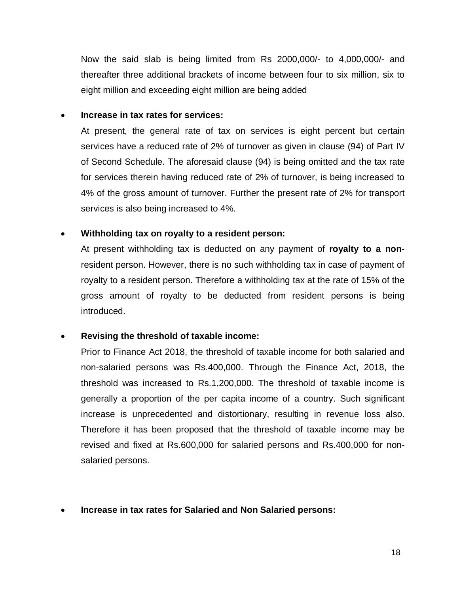Now the said slab is being limited from Rs 2000,000/- to 4,000,000/- and thereafter three additional brackets of income between four to six million, six to eight million and exceeding eight million are being added

### **Increase in tax rates for services:**

At present, the general rate of tax on services is eight percent but certain services have a reduced rate of 2% of turnover as given in clause (94) of Part IV of Second Schedule. The aforesaid clause (94) is being omitted and the tax rate for services therein having reduced rate of 2% of turnover, is being increased to 4% of the gross amount of turnover. Further the present rate of 2% for transport services is also being increased to 4%.

### **Withholding tax on royalty to a resident person:**

At present withholding tax is deducted on any payment of **royalty to a non**resident person. However, there is no such withholding tax in case of payment of royalty to a resident person. Therefore a withholding tax at the rate of 15% of the gross amount of royalty to be deducted from resident persons is being introduced.

# **Revising the threshold of taxable income:**

Prior to Finance Act 2018, the threshold of taxable income for both salaried and non-salaried persons was Rs.400,000. Through the Finance Act, 2018, the threshold was increased to Rs.1,200,000. The threshold of taxable income is generally a proportion of the per capita income of a country. Such significant increase is unprecedented and distortionary, resulting in revenue loss also. Therefore it has been proposed that the threshold of taxable income may be revised and fixed at Rs.600,000 for salaried persons and Rs.400,000 for nonsalaried persons.

**Increase in tax rates for Salaried and Non Salaried persons:**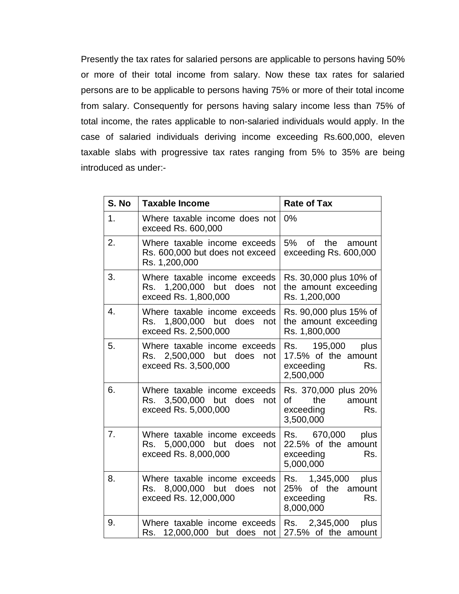Presently the tax rates for salaried persons are applicable to persons having 50% or more of their total income from salary. Now these tax rates for salaried persons are to be applicable to persons having 75% or more of their total income from salary. Consequently for persons having salary income less than 75% of total income, the rates applicable to non-salaried individuals would apply. In the case of salaried individuals deriving income exceeding Rs.600,000, eleven taxable slabs with progressive tax rates ranging from 5% to 35% are being introduced as under:-

| S. No | <b>Taxable Income</b>                                                                     | <b>Rate of Tax</b>                                                                |
|-------|-------------------------------------------------------------------------------------------|-----------------------------------------------------------------------------------|
| 1.    | Where taxable income does not<br>exceed Rs. 600,000                                       | 0%                                                                                |
| 2.    | Where taxable income exceeds<br>Rs. 600,000 but does not exceed<br>Rs. 1,200,000          | 5%<br>$\circ$ f<br>the<br>amount<br>exceeding Rs. 600,000                         |
| 3.    | Where taxable income exceeds<br>1,200,000 but does<br>Rs.<br>not<br>exceed Rs. 1,800,000  | Rs. 30,000 plus 10% of<br>the amount exceeding<br>Rs. 1,200,000                   |
| 4.    | Where taxable income exceeds<br>1,800,000 but does<br>Rs.<br>not<br>exceed Rs. 2,500,000  | Rs. 90,000 plus 15% of<br>the amount exceeding<br>Rs. 1,800,000                   |
| 5.    | Where taxable income exceeds<br>Rs. 2,500,000 but does<br>not<br>exceed Rs. 3,500,000     | Rs. 195,000<br>plus<br>17.5% of the amount<br>exceeding<br>Rs.<br>2,500,000       |
| 6.    | Where taxable income exceeds<br>3,500,000 but does<br>Rs.<br>not<br>exceed Rs. 5,000,000  | Rs. 370,000 plus 20%<br>of<br>the<br>amount<br>Rs.<br>exceeding<br>3,500,000      |
| 7.    | Where taxable income exceeds<br>Rs. 5,000,000 but does<br>not<br>exceed Rs. 8,000,000     | Rs. 670,000<br>plus<br>22.5% of the amount<br>exceeding<br>Rs.<br>5,000,000       |
| 8.    | Where taxable income exceeds<br>8,000,000 but does<br>Rs.<br>not<br>exceed Rs. 12,000,000 | Rs. 1,345,000<br>plus<br>of the<br>25%<br>amount<br>exceeding<br>Rs.<br>8,000,000 |
| 9.    | Where taxable income exceeds<br>12,000,000 but does<br>Rs.<br>not                         | Rs. 2,345,000<br>plus<br>27.5% of the amount                                      |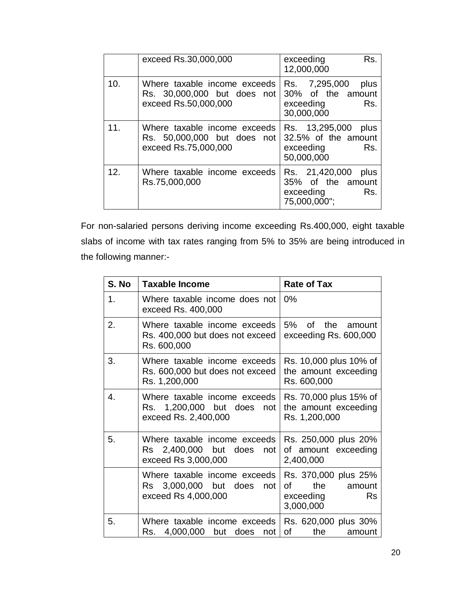|     | exceed Rs.30,000,000                                                                | Rs.<br>exceeding<br>12,000,000                                                  |
|-----|-------------------------------------------------------------------------------------|---------------------------------------------------------------------------------|
| 10. | Where taxable income exceeds<br>Rs. 30,000,000 but does not<br>exceed Rs.50,000,000 | Rs. 7,295,000<br>plus<br>30% of the amount<br>Rs.<br>exceeding<br>30,000,000    |
| 11. | Where taxable income exceeds<br>Rs. 50,000,000 but does not<br>exceed Rs.75,000,000 | Rs. 13,295,000<br>plus<br>32.5% of the amount<br>Rs.<br>exceeding<br>50,000,000 |
| 12. | Where taxable income exceeds<br>Rs.75,000,000                                       | Rs. 21,420,000<br>plus<br>35% of the amount<br>exceeding<br>Rs.<br>75,000,000"; |

For non-salaried persons deriving income exceeding Rs.400,000, eight taxable slabs of income with tax rates ranging from 5% to 35% are being introduced in the following manner:-

| S. No | <b>Taxable Income</b>                                                                     | <b>Rate of Tax</b>                                                                 |
|-------|-------------------------------------------------------------------------------------------|------------------------------------------------------------------------------------|
| 1.    | Where taxable income does not<br>exceed Rs. 400,000                                       | $0\%$                                                                              |
| 2.    | Where taxable income exceeds<br>Rs. 400,000 but does not exceed<br>Rs. 600,000            | 5% of the<br>amount<br>exceeding Rs. 600,000                                       |
| 3.    | Where taxable income exceeds<br>Rs. 600,000 but does not exceed<br>Rs. 1,200,000          | Rs. 10,000 plus 10% of<br>the amount exceeding<br>Rs. 600,000                      |
| 4.    | Where taxable income exceeds<br>Rs. 1,200,000 but does not<br>exceed Rs. 2,400,000        | Rs. 70,000 plus 15% of<br>the amount exceeding<br>Rs. 1,200,000                    |
| 5.    | Where taxable income exceeds<br>Rs 2,400,000 but<br>does<br>not<br>exceed Rs 3,000,000    | Rs. 250,000 plus 20%<br>of amount exceeding<br>2,400,000                           |
|       | Where taxable income exceeds<br>3,000,000 but<br>does<br>Rs<br>not<br>exceed Rs 4,000,000 | Rs. 370,000 plus 25%<br>the<br>οf<br>amount<br>exceeding<br><b>Rs</b><br>3,000,000 |
| 5.    | Where taxable income exceeds<br>4,000,000 but does<br>Rs.<br>not                          | Rs. 620,000 plus 30%<br>οf<br>the<br>amount                                        |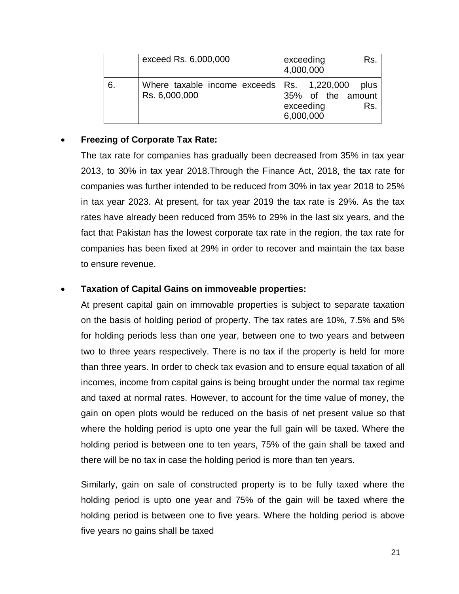|    | exceed Rs. 6,000,000                                                | Rs.<br>exceeding<br>4,000,000                              |
|----|---------------------------------------------------------------------|------------------------------------------------------------|
| 6. | Where taxable income exceeds $\vert$ Rs. 1,220,000<br>Rs. 6,000,000 | plus<br>35% of the amount<br>exceeding<br>Rs.<br>6,000,000 |

## **Freezing of Corporate Tax Rate:**

The tax rate for companies has gradually been decreased from 35% in tax year 2013, to 30% in tax year 2018.Through the Finance Act, 2018, the tax rate for companies was further intended to be reduced from 30% in tax year 2018 to 25% in tax year 2023. At present, for tax year 2019 the tax rate is 29%. As the tax rates have already been reduced from 35% to 29% in the last six years, and the fact that Pakistan has the lowest corporate tax rate in the region, the tax rate for companies has been fixed at 29% in order to recover and maintain the tax base to ensure revenue.

### **Taxation of Capital Gains on immoveable properties:**

At present capital gain on immovable properties is subject to separate taxation on the basis of holding period of property. The tax rates are 10%, 7.5% and 5% for holding periods less than one year, between one to two years and between two to three years respectively. There is no tax if the property is held for more than three years. In order to check tax evasion and to ensure equal taxation of all incomes, income from capital gains is being brought under the normal tax regime and taxed at normal rates. However, to account for the time value of money, the gain on open plots would be reduced on the basis of net present value so that where the holding period is upto one year the full gain will be taxed. Where the holding period is between one to ten years, 75% of the gain shall be taxed and there will be no tax in case the holding period is more than ten years.

Similarly, gain on sale of constructed property is to be fully taxed where the holding period is upto one year and 75% of the gain will be taxed where the holding period is between one to five years. Where the holding period is above five years no gains shall be taxed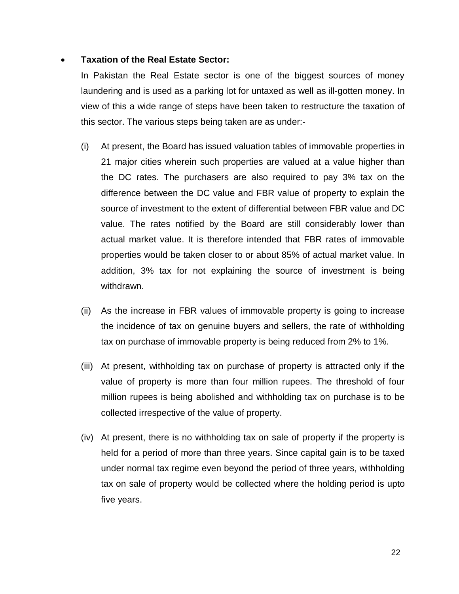### **Taxation of the Real Estate Sector:**

In Pakistan the Real Estate sector is one of the biggest sources of money laundering and is used as a parking lot for untaxed as well as ill-gotten money. In view of this a wide range of steps have been taken to restructure the taxation of this sector. The various steps being taken are as under:-

- (i) At present, the Board has issued valuation tables of immovable properties in 21 major cities wherein such properties are valued at a value higher than the DC rates. The purchasers are also required to pay 3% tax on the difference between the DC value and FBR value of property to explain the source of investment to the extent of differential between FBR value and DC value. The rates notified by the Board are still considerably lower than actual market value. It is therefore intended that FBR rates of immovable properties would be taken closer to or about 85% of actual market value. In addition, 3% tax for not explaining the source of investment is being withdrawn.
- (ii) As the increase in FBR values of immovable property is going to increase the incidence of tax on genuine buyers and sellers, the rate of withholding tax on purchase of immovable property is being reduced from 2% to 1%.
- (iii) At present, withholding tax on purchase of property is attracted only if the value of property is more than four million rupees. The threshold of four million rupees is being abolished and withholding tax on purchase is to be collected irrespective of the value of property.
- (iv) At present, there is no withholding tax on sale of property if the property is held for a period of more than three years. Since capital gain is to be taxed under normal tax regime even beyond the period of three years, withholding tax on sale of property would be collected where the holding period is upto five years.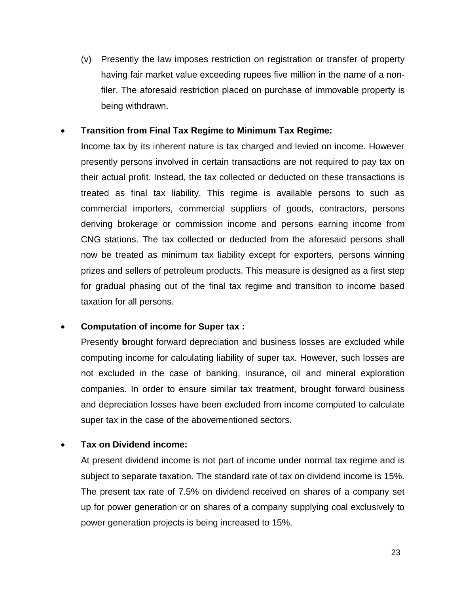(v) Presently the law imposes restriction on registration or transfer of property having fair market value exceeding rupees five million in the name of a nonfiler. The aforesaid restriction placed on purchase of immovable property is being withdrawn.

## **Transition from Final Tax Regime to Minimum Tax Regime:**

Income tax by its inherent nature is tax charged and levied on income. However presently persons involved in certain transactions are not required to pay tax on their actual profit. Instead, the tax collected or deducted on these transactions is treated as final tax liability. This regime is available persons to such as commercial importers, commercial suppliers of goods, contractors, persons deriving brokerage or commission income and persons earning income from CNG stations. The tax collected or deducted from the aforesaid persons shall now be treated as minimum tax liability except for exporters, persons winning prizes and sellers of petroleum products. This measure is designed as a first step for gradual phasing out of the final tax regime and transition to income based taxation for all persons.

### **Computation of income for Super tax :**

Presently **b**rought forward depreciation and business losses are excluded while computing income for calculating liability of super tax. However, such losses are not excluded in the case of banking, insurance, oil and mineral exploration companies. In order to ensure similar tax treatment, brought forward business and depreciation losses have been excluded from income computed to calculate super tax in the case of the abovementioned sectors.

# **Tax on Dividend income:**

At present dividend income is not part of income under normal tax regime and is subject to separate taxation. The standard rate of tax on dividend income is 15%. The present tax rate of 7.5% on dividend received on shares of a company set up for power generation or on shares of a company supplying coal exclusively to power generation projects is being increased to 15%.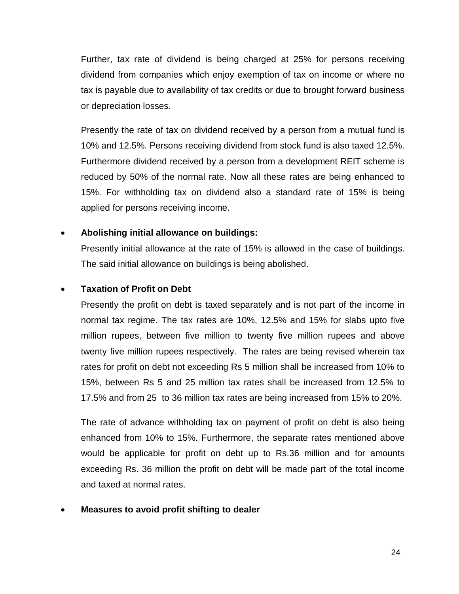Further, tax rate of dividend is being charged at 25% for persons receiving dividend from companies which enjoy exemption of tax on income or where no tax is payable due to availability of tax credits or due to brought forward business or depreciation losses.

Presently the rate of tax on dividend received by a person from a mutual fund is 10% and 12.5%. Persons receiving dividend from stock fund is also taxed 12.5%. Furthermore dividend received by a person from a development REIT scheme is reduced by 50% of the normal rate. Now all these rates are being enhanced to 15%. For withholding tax on dividend also a standard rate of 15% is being applied for persons receiving income.

# **Abolishing initial allowance on buildings:**

Presently initial allowance at the rate of 15% is allowed in the case of buildings. The said initial allowance on buildings is being abolished.

### **Taxation of Profit on Debt**

Presently the profit on debt is taxed separately and is not part of the income in normal tax regime. The tax rates are 10%, 12.5% and 15% for slabs upto five million rupees, between five million to twenty five million rupees and above twenty five million rupees respectively. The rates are being revised wherein tax rates for profit on debt not exceeding Rs 5 million shall be increased from 10% to 15%, between Rs 5 and 25 million tax rates shall be increased from 12.5% to 17.5% and from 25 to 36 million tax rates are being increased from 15% to 20%.

The rate of advance withholding tax on payment of profit on debt is also being enhanced from 10% to 15%. Furthermore, the separate rates mentioned above would be applicable for profit on debt up to Rs.36 million and for amounts exceeding Rs. 36 million the profit on debt will be made part of the total income and taxed at normal rates.

### **Measures to avoid profit shifting to dealer**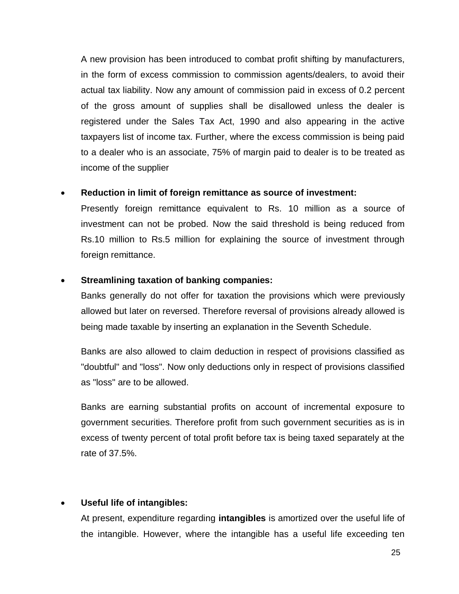A new provision has been introduced to combat profit shifting by manufacturers, in the form of excess commission to commission agents/dealers, to avoid their actual tax liability. Now any amount of commission paid in excess of 0.2 percent of the gross amount of supplies shall be disallowed unless the dealer is registered under the Sales Tax Act, 1990 and also appearing in the active taxpayers list of income tax. Further, where the excess commission is being paid to a dealer who is an associate, 75% of margin paid to dealer is to be treated as income of the supplier

### **Reduction in limit of foreign remittance as source of investment:**

Presently foreign remittance equivalent to Rs. 10 million as a source of investment can not be probed. Now the said threshold is being reduced from Rs.10 million to Rs.5 million for explaining the source of investment through foreign remittance.

### **Streamlining taxation of banking companies:**

Banks generally do not offer for taxation the provisions which were previously allowed but later on reversed. Therefore reversal of provisions already allowed is being made taxable by inserting an explanation in the Seventh Schedule.

Banks are also allowed to claim deduction in respect of provisions classified as "doubtful" and "loss". Now only deductions only in respect of provisions classified as "loss" are to be allowed.

Banks are earning substantial profits on account of incremental exposure to government securities. Therefore profit from such government securities as is in excess of twenty percent of total profit before tax is being taxed separately at the rate of 37.5%.

### **Useful life of intangibles:**

At present, expenditure regarding **intangibles** is amortized over the useful life of the intangible. However, where the intangible has a useful life exceeding ten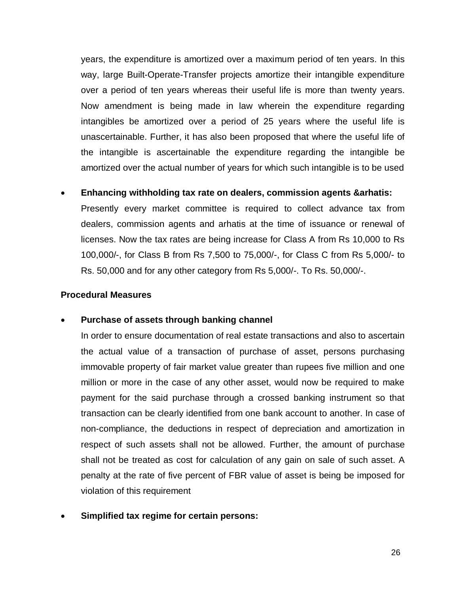years, the expenditure is amortized over a maximum period of ten years. In this way, large Built-Operate-Transfer projects amortize their intangible expenditure over a period of ten years whereas their useful life is more than twenty years. Now amendment is being made in law wherein the expenditure regarding intangibles be amortized over a period of 25 years where the useful life is unascertainable. Further, it has also been proposed that where the useful life of the intangible is ascertainable the expenditure regarding the intangible be amortized over the actual number of years for which such intangible is to be used

#### **Enhancing withholding tax rate on dealers, commission agents &arhatis:**

Presently every market committee is required to collect advance tax from dealers, commission agents and arhatis at the time of issuance or renewal of licenses. Now the tax rates are being increase for Class A from Rs 10,000 to Rs 100,000/-, for Class B from Rs 7,500 to 75,000/-, for Class C from Rs 5,000/- to Rs. 50,000 and for any other category from Rs 5,000/-. To Rs. 50,000/-.

#### **Procedural Measures**

#### **Purchase of assets through banking channel**

In order to ensure documentation of real estate transactions and also to ascertain the actual value of a transaction of purchase of asset, persons purchasing immovable property of fair market value greater than rupees five million and one million or more in the case of any other asset, would now be required to make payment for the said purchase through a crossed banking instrument so that transaction can be clearly identified from one bank account to another. In case of non-compliance, the deductions in respect of depreciation and amortization in respect of such assets shall not be allowed. Further, the amount of purchase shall not be treated as cost for calculation of any gain on sale of such asset. A penalty at the rate of five percent of FBR value of asset is being be imposed for violation of this requirement

### **Simplified tax regime for certain persons:**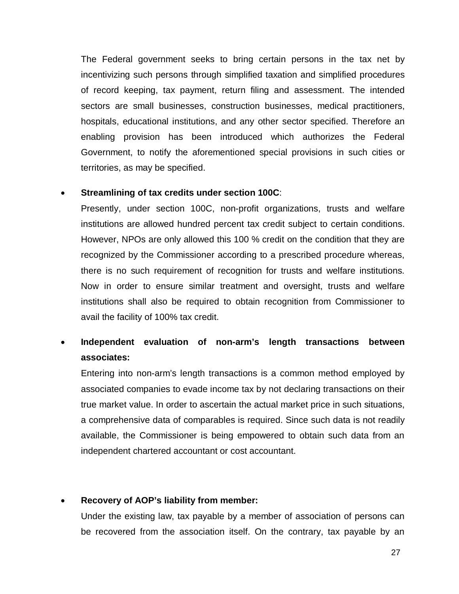The Federal government seeks to bring certain persons in the tax net by incentivizing such persons through simplified taxation and simplified procedures of record keeping, tax payment, return filing and assessment. The intended sectors are small businesses, construction businesses, medical practitioners, hospitals, educational institutions, and any other sector specified. Therefore an enabling provision has been introduced which authorizes the Federal Government, to notify the aforementioned special provisions in such cities or territories, as may be specified.

#### **Streamlining of tax credits under section 100C**:

Presently, under section 100C, non-profit organizations, trusts and welfare institutions are allowed hundred percent tax credit subject to certain conditions. However, NPOs are only allowed this 100 % credit on the condition that they are recognized by the Commissioner according to a prescribed procedure whereas, there is no such requirement of recognition for trusts and welfare institutions. Now in order to ensure similar treatment and oversight, trusts and welfare institutions shall also be required to obtain recognition from Commissioner to avail the facility of 100% tax credit.

# **Independent evaluation of non-arm's length transactions between associates:**

Entering into non-arm's length transactions is a common method employed by associated companies to evade income tax by not declaring transactions on their true market value. In order to ascertain the actual market price in such situations, a comprehensive data of comparables is required. Since such data is not readily available, the Commissioner is being empowered to obtain such data from an independent chartered accountant or cost accountant.

### **Recovery of AOP's liability from member:**

Under the existing law, tax payable by a member of association of persons can be recovered from the association itself. On the contrary, tax payable by an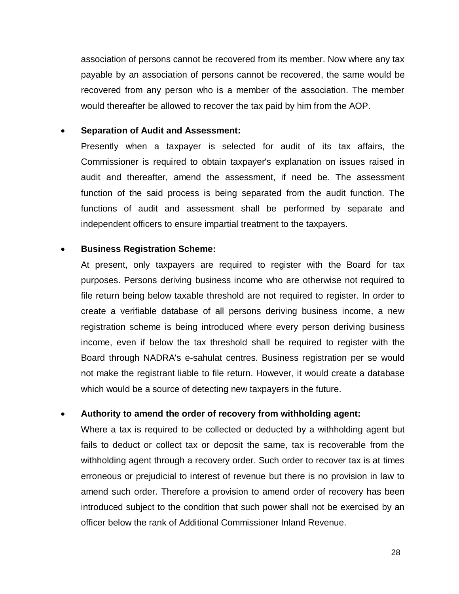association of persons cannot be recovered from its member. Now where any tax payable by an association of persons cannot be recovered, the same would be recovered from any person who is a member of the association. The member would thereafter be allowed to recover the tax paid by him from the AOP.

#### **Separation of Audit and Assessment:**

Presently when a taxpayer is selected for audit of its tax affairs, the Commissioner is required to obtain taxpayer's explanation on issues raised in audit and thereafter, amend the assessment, if need be. The assessment function of the said process is being separated from the audit function. The functions of audit and assessment shall be performed by separate and independent officers to ensure impartial treatment to the taxpayers.

#### **Business Registration Scheme:**

At present, only taxpayers are required to register with the Board for tax purposes. Persons deriving business income who are otherwise not required to file return being below taxable threshold are not required to register. In order to create a verifiable database of all persons deriving business income, a new registration scheme is being introduced where every person deriving business income, even if below the tax threshold shall be required to register with the Board through NADRA's e-sahulat centres. Business registration per se would not make the registrant liable to file return. However, it would create a database which would be a source of detecting new taxpayers in the future.

### **Authority to amend the order of recovery from withholding agent:**

Where a tax is required to be collected or deducted by a withholding agent but fails to deduct or collect tax or deposit the same, tax is recoverable from the withholding agent through a recovery order. Such order to recover tax is at times erroneous or prejudicial to interest of revenue but there is no provision in law to amend such order. Therefore a provision to amend order of recovery has been introduced subject to the condition that such power shall not be exercised by an officer below the rank of Additional Commissioner Inland Revenue.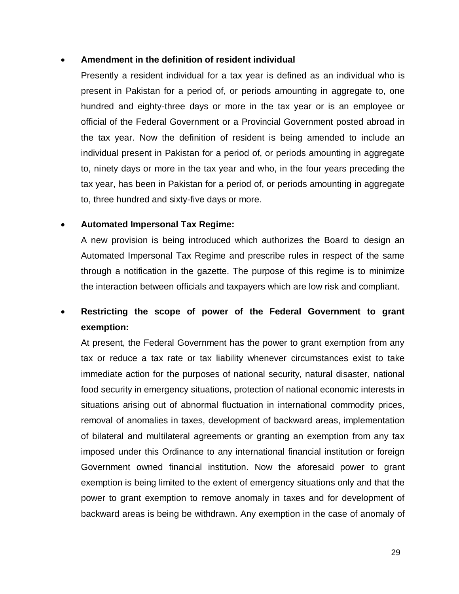### **Amendment in the definition of resident individual**

Presently a resident individual for a tax year is defined as an individual who is present in Pakistan for a period of, or periods amounting in aggregate to, one hundred and eighty-three days or more in the tax year or is an employee or official of the Federal Government or a Provincial Government posted abroad in the tax year. Now the definition of resident is being amended to include an individual present in Pakistan for a period of, or periods amounting in aggregate to, ninety days or more in the tax year and who, in the four years preceding the tax year, has been in Pakistan for a period of, or periods amounting in aggregate to, three hundred and sixty-five days or more.

### **Automated Impersonal Tax Regime:**

A new provision is being introduced which authorizes the Board to design an Automated Impersonal Tax Regime and prescribe rules in respect of the same through a notification in the gazette. The purpose of this regime is to minimize the interaction between officials and taxpayers which are low risk and compliant.

# **Restricting the scope of power of the Federal Government to grant exemption:**

At present, the Federal Government has the power to grant exemption from any tax or reduce a tax rate or tax liability whenever circumstances exist to take immediate action for the purposes of national security, natural disaster, national food security in emergency situations, protection of national economic interests in situations arising out of abnormal fluctuation in international commodity prices, removal of anomalies in taxes, development of backward areas, implementation of bilateral and multilateral agreements or granting an exemption from any tax imposed under this Ordinance to any international financial institution or foreign Government owned financial institution. Now the aforesaid power to grant exemption is being limited to the extent of emergency situations only and that the power to grant exemption to remove anomaly in taxes and for development of backward areas is being be withdrawn. Any exemption in the case of anomaly of